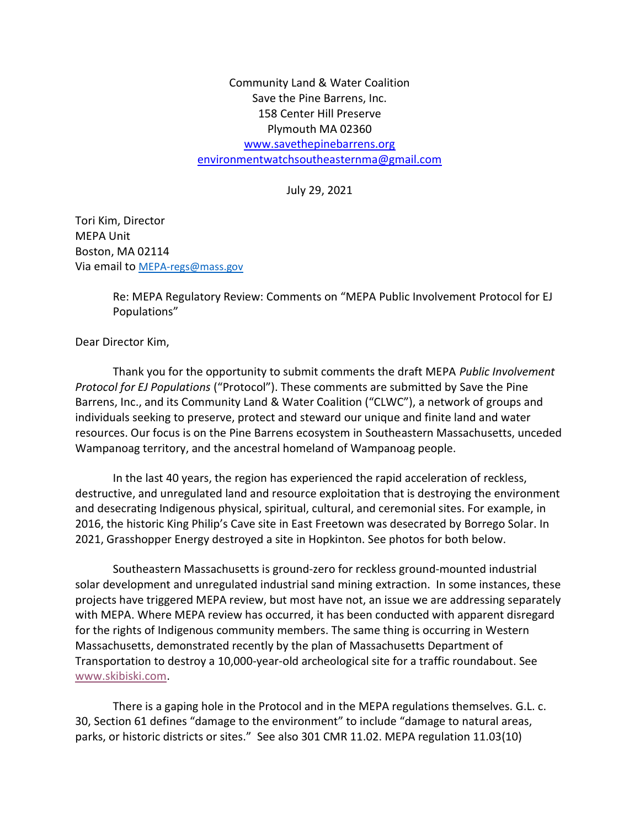Community Land & Water Coalition Save the Pine Barrens, Inc. 158 Center Hill Preserve Plymouth MA 02360 www.savethepinebarrens.org environmentwatchsoutheasternma@gmail.com

July 29, 2021

Tori Kim, Director MEPA Unit Boston, MA 02114 Via email to MEPA-regs@mass.gov

> Re: MEPA Regulatory Review: Comments on "MEPA Public Involvement Protocol for EJ Populations"

Dear Director Kim,

Thank you for the opportunity to submit comments the draft MEPA Public Involvement Protocol for EJ Populations ("Protocol"). These comments are submitted by Save the Pine Barrens, Inc., and its Community Land & Water Coalition ("CLWC"), a network of groups and individuals seeking to preserve, protect and steward our unique and finite land and water resources. Our focus is on the Pine Barrens ecosystem in Southeastern Massachusetts, unceded Wampanoag territory, and the ancestral homeland of Wampanoag people.

In the last 40 years, the region has experienced the rapid acceleration of reckless, destructive, and unregulated land and resource exploitation that is destroying the environment and desecrating Indigenous physical, spiritual, cultural, and ceremonial sites. For example, in 2016, the historic King Philip's Cave site in East Freetown was desecrated by Borrego Solar. In 2021, Grasshopper Energy destroyed a site in Hopkinton. See photos for both below.

Southeastern Massachusetts is ground-zero for reckless ground-mounted industrial solar development and unregulated industrial sand mining extraction. In some instances, these projects have triggered MEPA review, but most have not, an issue we are addressing separately with MEPA. Where MEPA review has occurred, it has been conducted with apparent disregard for the rights of Indigenous community members. The same thing is occurring in Western Massachusetts, demonstrated recently by the plan of Massachusetts Department of Transportation to destroy a 10,000-year-old archeological site for a traffic roundabout. See www.skibiski.com.

There is a gaping hole in the Protocol and in the MEPA regulations themselves. G.L. c. 30, Section 61 defines "damage to the environment" to include "damage to natural areas, parks, or historic districts or sites." See also 301 CMR 11.02. MEPA regulation 11.03(10)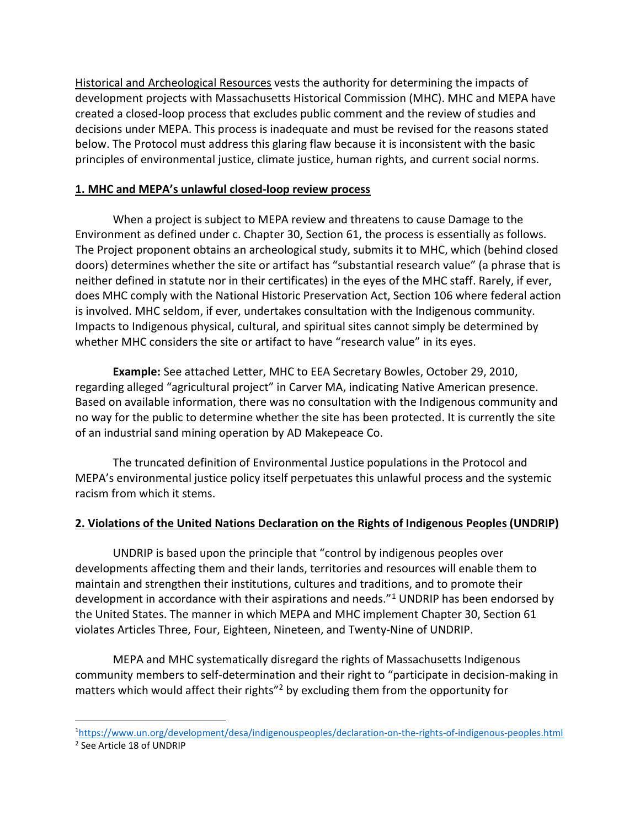Historical and Archeological Resources vests the authority for determining the impacts of development projects with Massachusetts Historical Commission (MHC). MHC and MEPA have created a closed-loop process that excludes public comment and the review of studies and decisions under MEPA. This process is inadequate and must be revised for the reasons stated below. The Protocol must address this glaring flaw because it is inconsistent with the basic principles of environmental justice, climate justice, human rights, and current social norms.

### 1. MHC and MEPA's unlawful closed-loop review process

When a project is subject to MEPA review and threatens to cause Damage to the Environment as defined under c. Chapter 30, Section 61, the process is essentially as follows. The Project proponent obtains an archeological study, submits it to MHC, which (behind closed doors) determines whether the site or artifact has "substantial research value" (a phrase that is neither defined in statute nor in their certificates) in the eyes of the MHC staff. Rarely, if ever, does MHC comply with the National Historic Preservation Act, Section 106 where federal action is involved. MHC seldom, if ever, undertakes consultation with the Indigenous community. Impacts to Indigenous physical, cultural, and spiritual sites cannot simply be determined by whether MHC considers the site or artifact to have "research value" in its eyes.

Example: See attached Letter, MHC to EEA Secretary Bowles, October 29, 2010, regarding alleged "agricultural project" in Carver MA, indicating Native American presence. Based on available information, there was no consultation with the Indigenous community and no way for the public to determine whether the site has been protected. It is currently the site of an industrial sand mining operation by AD Makepeace Co.

The truncated definition of Environmental Justice populations in the Protocol and MEPA's environmental justice policy itself perpetuates this unlawful process and the systemic racism from which it stems.

### 2. Violations of the United Nations Declaration on the Rights of Indigenous Peoples (UNDRIP)

UNDRIP is based upon the principle that "control by indigenous peoples over developments affecting them and their lands, territories and resources will enable them to maintain and strengthen their institutions, cultures and traditions, and to promote their development in accordance with their aspirations and needs."<sup>1</sup> UNDRIP has been endorsed by the United States. The manner in which MEPA and MHC implement Chapter 30, Section 61 violates Articles Three, Four, Eighteen, Nineteen, and Twenty-Nine of UNDRIP.

MEPA and MHC systematically disregard the rights of Massachusetts Indigenous community members to self-determination and their right to "participate in decision-making in matters which would affect their rights<sup>"2</sup> by excluding them from the opportunity for

<sup>1</sup>https://www.un.org/development/desa/indigenouspeoples/declaration-on-the-rights-of-indigenous-peoples.html 2 See Article 18 of UNDRIP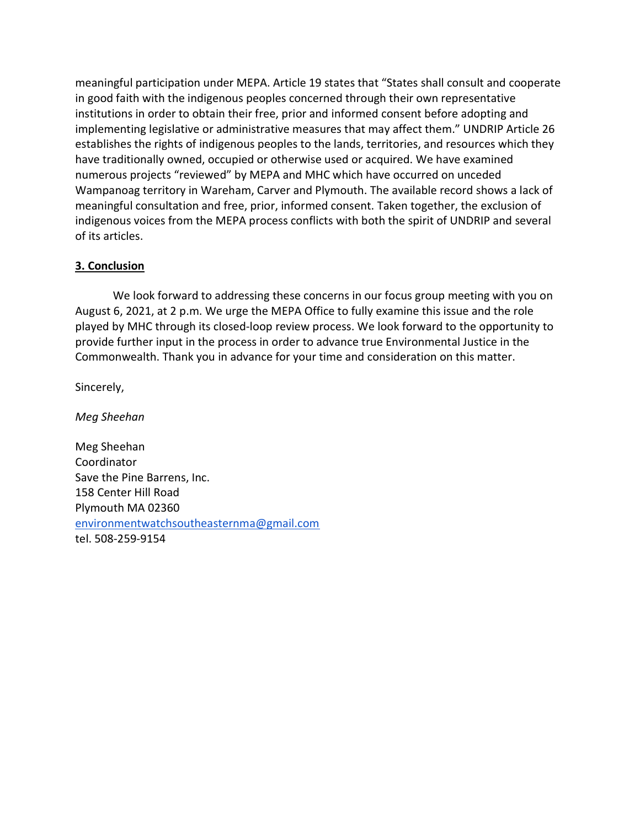meaningful participation under MEPA. Article 19 states that "States shall consult and cooperate in good faith with the indigenous peoples concerned through their own representative institutions in order to obtain their free, prior and informed consent before adopting and implementing legislative or administrative measures that may affect them." UNDRIP Article 26 establishes the rights of indigenous peoples to the lands, territories, and resources which they have traditionally owned, occupied or otherwise used or acquired. We have examined numerous projects "reviewed" by MEPA and MHC which have occurred on unceded Wampanoag territory in Wareham, Carver and Plymouth. The available record shows a lack of meaningful consultation and free, prior, informed consent. Taken together, the exclusion of indigenous voices from the MEPA process conflicts with both the spirit of UNDRIP and several of its articles.

#### 3. Conclusion

We look forward to addressing these concerns in our focus group meeting with you on August 6, 2021, at 2 p.m. We urge the MEPA Office to fully examine this issue and the role played by MHC through its closed-loop review process. We look forward to the opportunity to provide further input in the process in order to advance true Environmental Justice in the Commonwealth. Thank you in advance for your time and consideration on this matter.

Sincerely,

Meg Sheehan

Meg Sheehan Coordinator Save the Pine Barrens, Inc. 158 Center Hill Road Plymouth MA 02360 environmentwatchsoutheasternma@gmail.com tel. 508-259-9154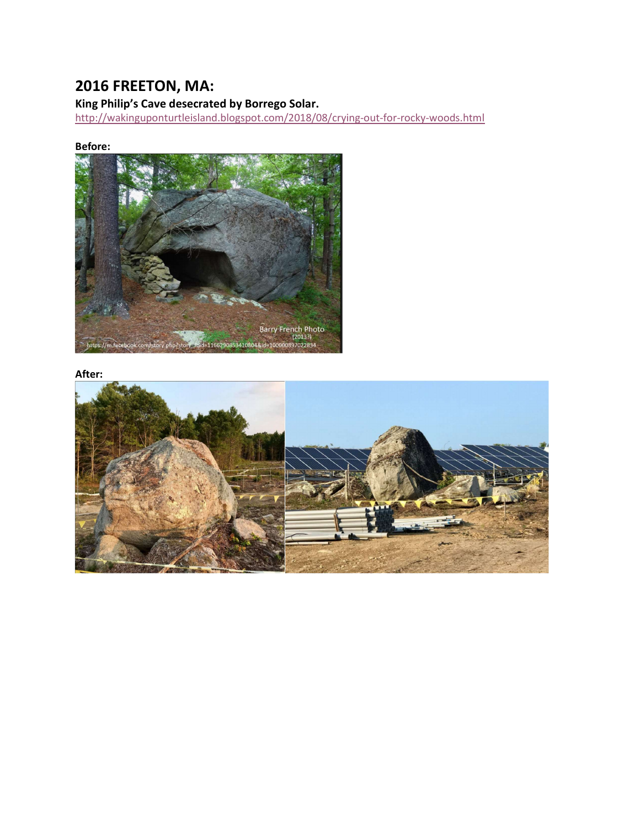# 2016 FREETON, MA:

## King Philip's Cave desecrated by Borrego Solar.

http://wakinguponturtleisland.blogspot.com/2018/08/crying-out-for-rocky-woods.html

### Before:



#### After:

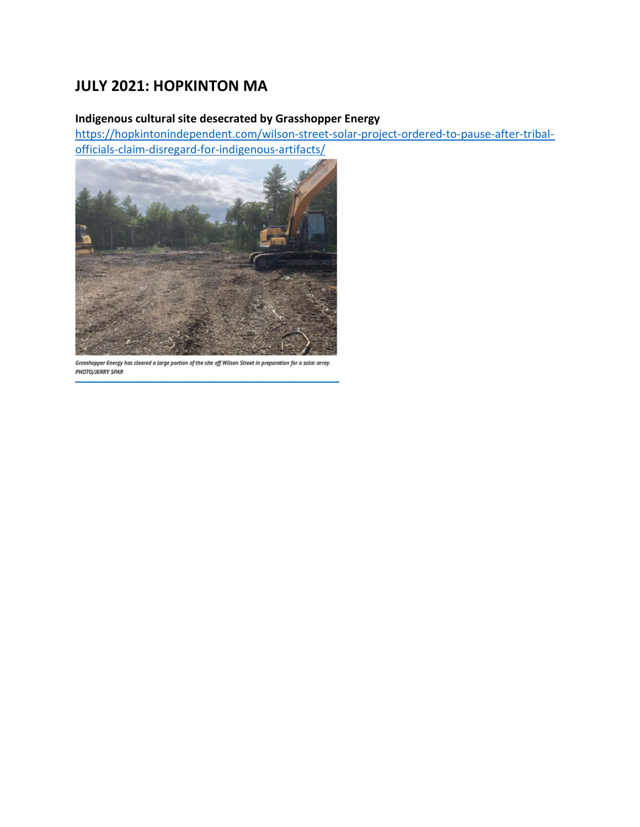## JULY 2021: HOPKINTON MA

### Indigenous cultural site desecrated by Grasshopper Energy

https://hopkintonindependent.com/wilson-street-solar-project-ordered-to-pause-after-tribalofficials-claim-disregard-for-indigenous-artifacts/



Grasshopper Energy has cleared a large portion of the site off Wilson Street in preparation for a solar array. PHOTO/JERRY SPAR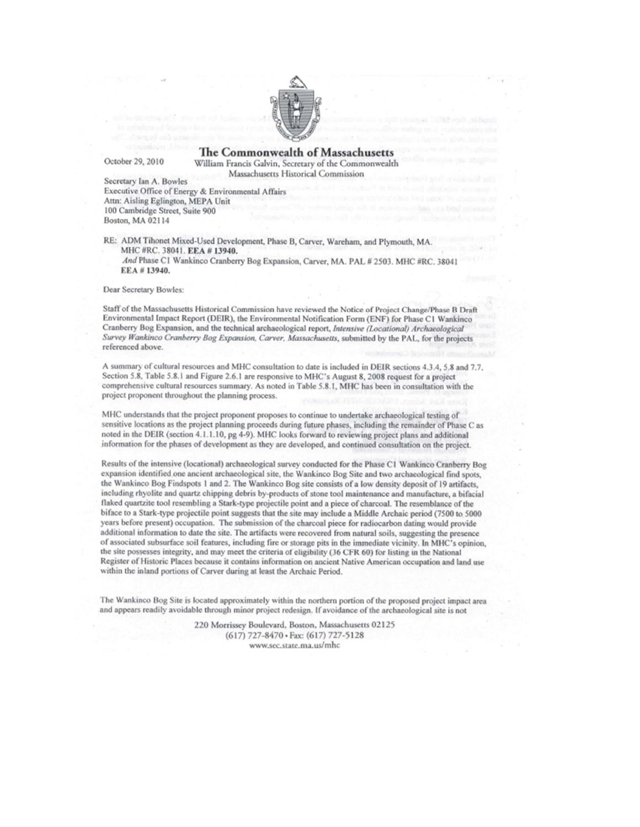

October 29, 2010

**The Commonwealth of Massachusetts** William Francis Galvin, Secretary of the Commonwealth Massachusetts Historical Commission

Secretary Ian A. Bowles Executive Office of Energy & Environmental Affairs Attn: Aisling Eglington, MEPA Unit 100 Cambridge Street, Suite 900 Boston, MA 02114

RE: ADM Tihonet Mixed-Used Development, Phase B, Carver, Wareham, and Plymouth, MA. MHC #RC. 38041. EEA #13940. And Phase C1 Wankinco Cranberry Bog Expansion, Carver, MA. PAL # 2503. MHC #RC. 38041 EEA #13940.

Dear Secretary Bowles:

Staff of the Massachusetts Historical Commission have reviewed the Notice of Project Change/Phase B Draft Environmental Impact Report (DEIR), the Environmental Notification Form (ENF) for Phase C1 Wankinco Cranberry Bog Expansion, and the technical archaeological report, Intensive (Locational) Archaeological Survey Wankinco Cranberry Bog Expansion, Carver, Massachusetts, submitted by the PAL, for the projects referenced above.

A summary of cultural resources and MHC consultation to date is included in DEIR sections 4.3.4, 5.8 and 7.7. Section 5.8, Table 5.8.1 and Figure 2.6.1 are responsive to MHC's August 8, 2008 request for a project comprehensive cultural resources summary. As noted in Table 5.8.1, MHC has been in consultation with the project proponent throughout the planning process.

MHC understands that the project proponent proposes to continue to undertake archaeological testing of sensitive locations as the project planning proceeds during future phases, including the remainder of Phase C as noted in the DEIR (section 4.1.1.10, pg 4-9). MHC looks forward to reviewing project plans and additional information for the phases of development as they are developed, and continued consultation on the project.

Results of the intensive (locational) archaeological survey conducted for the Phase C1 Wankinco Cranberry Bog expansion identified one ancient archaeological site, the Wankinco Bog Site and two archaeological find spots, the Wankinco Bog Findspots 1 and 2. The Wankinco Bog site consists of a low density deposit of 19 artifacts, including rhyolite and quartz chipping debris by-products of stone tool maintenance and manufacture, a bifacial flaked quartzite tool resembling a Stark-type projectile point and a piece of charcoal. The resemblance of the biface to a Stark-type projectile point suggests that the site may include a Middle Archaic period (7500 to 5000 years before present) occupation. The submission of the charcoal piece for radiocarbon dating would provide additional information to date the site. The artifacts were recovered from natural soils, suggesting the presence of associated subsurface soil features, including fire or storage pits in the immediate vicinity. In MHC's opinion, the site possesses integrity, and may meet the criteria of eligibility (36 CFR 60) for listing in the National Register of Historic Places because it contains information on ancient Native American occupation and land use within the inland portions of Carver during at least the Archaic Period.

The Wankinco Bog Site is located approximately within the northern portion of the proposed project impact area and appears readily avoidable through minor project redesign. If avoidance of the archaeological site is not

> 220 Morrissey Boulevard, Boston, Massachusetts 02125 (617) 727-8470 · Fax: (617) 727-5128 www.sec.state.ma.us/mhc